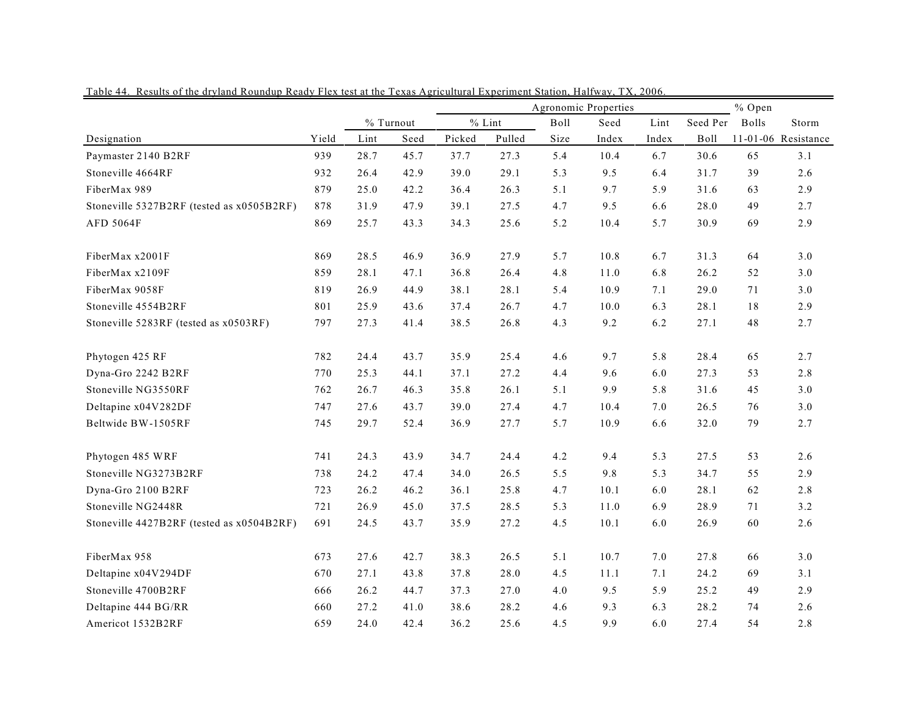|                                           |       |      |           | Agronomic Properties |          |      |       |         | % Open   |              |                        |
|-------------------------------------------|-------|------|-----------|----------------------|----------|------|-------|---------|----------|--------------|------------------------|
|                                           |       |      | % Turnout |                      | $%$ Lint | Boll | Seed  | Lint    | Seed Per | <b>Bolls</b> | $\operatorname{Storm}$ |
| Designation                               | Yield | Lint | Seed      | Picked               | Pulled   | Size | Index | Index   | Boll     |              | 11-01-06 Resistance    |
| Paymaster 2140 B2RF                       | 939   | 28.7 | 45.7      | 37.7                 | 27.3     | 5.4  | 10.4  | 6.7     | 30.6     | 65           | 3.1                    |
| Stoneville 4664RF                         | 932   | 26.4 | 42.9      | 39.0                 | 29.1     | 5.3  | 9.5   | 6.4     | 31.7     | 39           | 2.6                    |
| FiberMax 989                              | 879   | 25.0 | 42.2      | 36.4                 | 26.3     | 5.1  | 9.7   | 5.9     | 31.6     | 63           | 2.9                    |
| Stoneville 5327B2RF (tested as x0505B2RF) | 878   | 31.9 | 47.9      | 39.1                 | 27.5     | 4.7  | 9.5   | 6.6     | 28.0     | 49           | 2.7                    |
| AFD 5064F                                 | 869   | 25.7 | 43.3      | 34.3                 | 25.6     | 5.2  | 10.4  | 5.7     | 30.9     | 69           | 2.9                    |
| FiberMax x2001F                           | 869   | 28.5 | 46.9      | 36.9                 | 27.9     | 5.7  | 10.8  | 6.7     | 31.3     | 64           | 3.0                    |
| FiberMax x2109F                           | 859   | 28.1 | 47.1      | 36.8                 | 26.4     | 4.8  | 11.0  | 6.8     | 26.2     | 52           | $3.0\,$                |
| FiberMax 9058F                            | 819   | 26.9 | 44.9      | 38.1                 | 28.1     | 5.4  | 10.9  | 7.1     | 29.0     | 71           | 3.0                    |
| Stoneville 4554B2RF                       | 801   | 25.9 | 43.6      | 37.4                 | 26.7     | 4.7  | 10.0  | 6.3     | 28.1     | 18           | 2.9                    |
| Stoneville 5283RF (tested as x0503RF)     | 797   | 27.3 | 41.4      | 38.5                 | 26.8     | 4.3  | 9.2   | 6.2     | 27.1     | 48           | 2.7                    |
| Phytogen 425 RF                           | 782   | 24.4 | 43.7      | 35.9                 | 25.4     | 4.6  | 9.7   | 5.8     | 28.4     | 65           | 2.7                    |
| Dyna-Gro 2242 B2RF                        | 770   | 25.3 | 44.1      | 37.1                 | 27.2     | 4.4  | 9.6   | 6.0     | 27.3     | 53           | 2.8                    |
| Stoneville NG3550RF                       | 762   | 26.7 | 46.3      | 35.8                 | 26.1     | 5.1  | 9.9   | 5.8     | 31.6     | 45           | 3.0                    |
| Deltapine x04V282DF                       | 747   | 27.6 | 43.7      | 39.0                 | 27.4     | 4.7  | 10.4  | 7.0     | 26.5     | 76           | 3.0                    |
| Beltwide BW-1505RF                        | 745   | 29.7 | 52.4      | 36.9                 | 27.7     | 5.7  | 10.9  | 6.6     | 32.0     | 79           | 2.7                    |
| Phytogen 485 WRF                          | 741   | 24.3 | 43.9      | 34.7                 | 24.4     | 4.2  | 9.4   | 5.3     | 27.5     | 53           | 2.6                    |
| Stoneville NG3273B2RF                     | 738   | 24.2 | 47.4      | 34.0                 | 26.5     | 5.5  | 9.8   | 5.3     | 34.7     | 55           | 2.9                    |
| Dyna-Gro 2100 B2RF                        | 723   | 26.2 | 46.2      | 36.1                 | 25.8     | 4.7  | 10.1  | 6.0     | 28.1     | 62           | $2.8\,$                |
| Stoneville NG2448R                        | 721   | 26.9 | 45.0      | 37.5                 | 28.5     | 5.3  | 11.0  | 6.9     | 28.9     | 71           | 3.2                    |
| Stoneville 4427B2RF (tested as x0504B2RF) | 691   | 24.5 | 43.7      | 35.9                 | 27.2     | 4.5  | 10.1  | 6.0     | 26.9     | 60           | 2.6                    |
| FiberMax 958                              | 673   | 27.6 | 42.7      | 38.3                 | 26.5     | 5.1  | 10.7  | $7.0\,$ | 27.8     | 66           | 3.0                    |
| Deltapine x04V294DF                       | 670   | 27.1 | 43.8      | 37.8                 | 28.0     | 4.5  | 11.1  | 7.1     | 24.2     | 69           | 3.1                    |
| Stoneville 4700B2RF                       | 666   | 26.2 | 44.7      | 37.3                 | 27.0     | 4.0  | 9.5   | 5.9     | 25.2     | 49           | 2.9                    |
| Deltapine 444 BG/RR                       | 660   | 27.2 | 41.0      | 38.6                 | 28.2     | 4.6  | 9.3   | 6.3     | 28.2     | 74           | 2.6                    |
| Americot 1532B2RF                         | 659   | 24.0 | 42.4      | 36.2                 | 25.6     | 4.5  | 9.9   | 6.0     | 27.4     | 54           | 2.8                    |

Table 44. Results of the dryland Roundup Ready Flex test at the Texas Agricultural Experiment Station, Halfway, TX, 2006.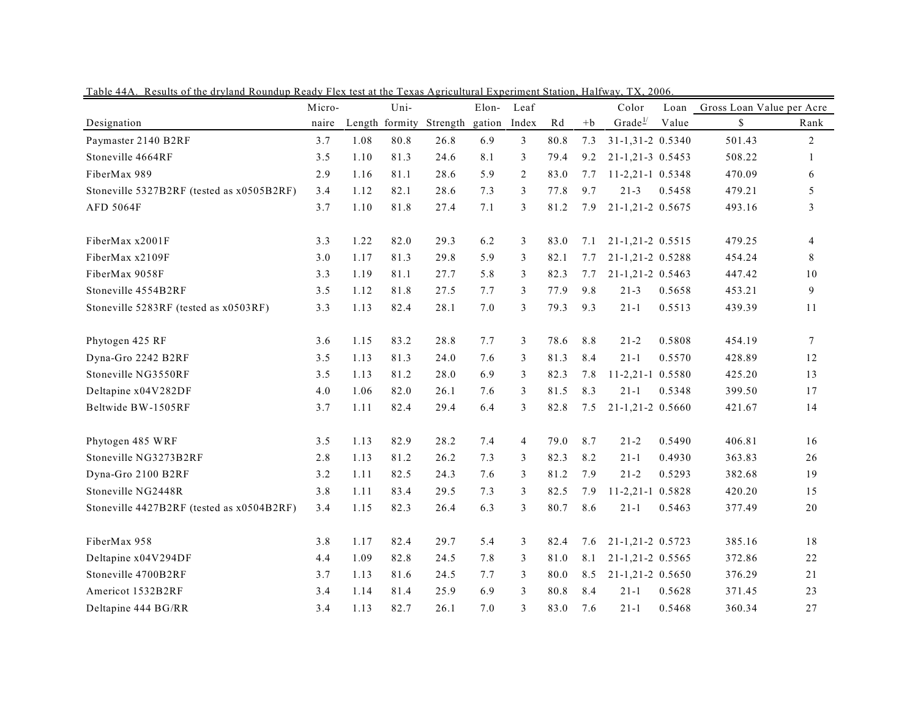|                                           | Micro- |      | Uni- |                         | Elon-  | Leaf           |      |      | Color               | Loan   | Gross Loan Value per Acre |                |
|-------------------------------------------|--------|------|------|-------------------------|--------|----------------|------|------|---------------------|--------|---------------------------|----------------|
| Designation                               | naire  |      |      | Length formity Strength | gation | Index          | Rd   | $+b$ | Grade $\frac{1}{2}$ | Value  | \$                        | Rank           |
| Paymaster 2140 B2RF                       | 3.7    | 1.08 | 80.8 | 26.8                    | 6.9    | $\mathfrak{Z}$ | 80.8 | 7.3  | 31-1,31-2 0.5340    |        | 501.43                    | 2              |
| Stoneville 4664RF                         | 3.5    | 1.10 | 81.3 | 24.6                    | 8.1    | 3              | 79.4 | 9.2  | 21-1,21-3 0.5453    |        | 508.22                    | 1              |
| FiberMax 989                              | 2.9    | 1.16 | 81.1 | 28.6                    | 5.9    | $\overline{2}$ | 83.0 | 7.7  | $11-2,21-1$ 0.5348  |        | 470.09                    | 6              |
| Stoneville 5327B2RF (tested as x0505B2RF) | 3.4    | 1.12 | 82.1 | 28.6                    | 7.3    | 3              | 77.8 | 9.7  | $21 - 3$            | 0.5458 | 479.21                    | 5              |
| AFD 5064F                                 | 3.7    | 1.10 | 81.8 | 27.4                    | 7.1    | 3              | 81.2 | 7.9  | 21-1,21-2 0.5675    |        | 493.16                    | $\mathfrak{Z}$ |
| FiberMax x2001F                           | 3.3    | 1.22 | 82.0 | 29.3                    | 6.2    | 3              | 83.0 | 7.1  | 21-1,21-2 0.5515    |        | 479.25                    | $\overline{4}$ |
| FiberMax x2109F                           | 3.0    | 1.17 | 81.3 | 29.8                    | 5.9    | 3              | 82.1 | 7.7  | 21-1,21-2 0.5288    |        | 454.24                    | 8              |
| FiberMax 9058F                            | 3.3    | 1.19 | 81.1 | 27.7                    | 5.8    | 3              | 82.3 | 7.7  | 21-1,21-2 0.5463    |        | 447.42                    | 10             |
| Stoneville 4554B2RF                       | 3.5    | 1.12 | 81.8 | 27.5                    | 7.7    | 3              | 77.9 | 9.8  | $21 - 3$            | 0.5658 | 453.21                    | 9              |
| Stoneville 5283RF (tested as x0503RF)     | 3.3    | 1.13 | 82.4 | 28.1                    | 7.0    | 3              | 79.3 | 9.3  | $21 - 1$            | 0.5513 | 439.39                    | 11             |
| Phytogen 425 RF                           | 3.6    | 1.15 | 83.2 | 28.8                    | 7.7    | 3              | 78.6 | 8.8  | $21 - 2$            | 0.5808 | 454.19                    | $\tau$         |
| Dyna-Gro 2242 B2RF                        | 3.5    | 1.13 | 81.3 | 24.0                    | 7.6    | 3              | 81.3 | 8.4  | $21 - 1$            | 0.5570 | 428.89                    | 12             |
| Stoneville NG3550RF                       | 3.5    | 1.13 | 81.2 | 28.0                    | 6.9    | 3              | 82.3 | 7.8  | 11-2,21-1 0.5580    |        | 425.20                    | 13             |
| Deltapine x04V282DF                       | 4.0    | 1.06 | 82.0 | 26.1                    | 7.6    | 3              | 81.5 | 8.3  | $21 - 1$            | 0.5348 | 399.50                    | 17             |
| Beltwide BW-1505RF                        | 3.7    | 1.11 | 82.4 | 29.4                    | 6.4    | 3              | 82.8 | 7.5  | $21-1,21-2$ 0.5660  |        | 421.67                    | 14             |
| Phytogen 485 WRF                          | 3.5    | 1.13 | 82.9 | 28.2                    | 7.4    | $\overline{4}$ | 79.0 | 8.7  | $21 - 2$            | 0.5490 | 406.81                    | 16             |
| Stoneville NG3273B2RF                     | 2.8    | 1.13 | 81.2 | 26.2                    | 7.3    | 3              | 82.3 | 8.2  | $21 - 1$            | 0.4930 | 363.83                    | 26             |
| Dyna-Gro 2100 B2RF                        | 3.2    | 1.11 | 82.5 | 24.3                    | 7.6    | 3              | 81.2 | 7.9  | $21 - 2$            | 0.5293 | 382.68                    | 19             |
| Stoneville NG2448R                        | 3.8    | 1.11 | 83.4 | 29.5                    | 7.3    | 3              | 82.5 | 7.9  | $11-2,21-1$ 0.5828  |        | 420.20                    | 15             |
| Stoneville 4427B2RF (tested as x0504B2RF) | 3.4    | 1.15 | 82.3 | 26.4                    | 6.3    | 3              | 80.7 | 8.6  | $21 - 1$            | 0.5463 | 377.49                    | 20             |
| FiberMax 958                              | 3.8    | 1.17 | 82.4 | 29.7                    | 5.4    | 3              | 82.4 | 7.6  | 21-1,21-2 0.5723    |        | 385.16                    | 18             |
| Deltapine x04V294DF                       | 4.4    | 1.09 | 82.8 | 24.5                    | 7.8    | 3              | 81.0 | 8.1  | 21-1,21-2 0.5565    |        | 372.86                    | 22             |
| Stoneville 4700B2RF                       | 3.7    | 1.13 | 81.6 | 24.5                    | 7.7    | 3              | 80.0 | 8.5  | 21-1,21-2 0.5650    |        | 376.29                    | 21             |
| Americot 1532B2RF                         | 3.4    | 1.14 | 81.4 | 25.9                    | 6.9    | 3              | 80.8 | 8.4  | $21 - 1$            | 0.5628 | 371.45                    | 23             |
| Deltapine 444 BG/RR                       | 3.4    | 1.13 | 82.7 | 26.1                    | 7.0    | 3              | 83.0 | 7.6  | $21 - 1$            | 0.5468 | 360.34                    | 27             |

Table 44A. Results of the dryland Roundup Ready Flex test at the Texas Agricultural Experiment Station, Halfway, TX, 2006.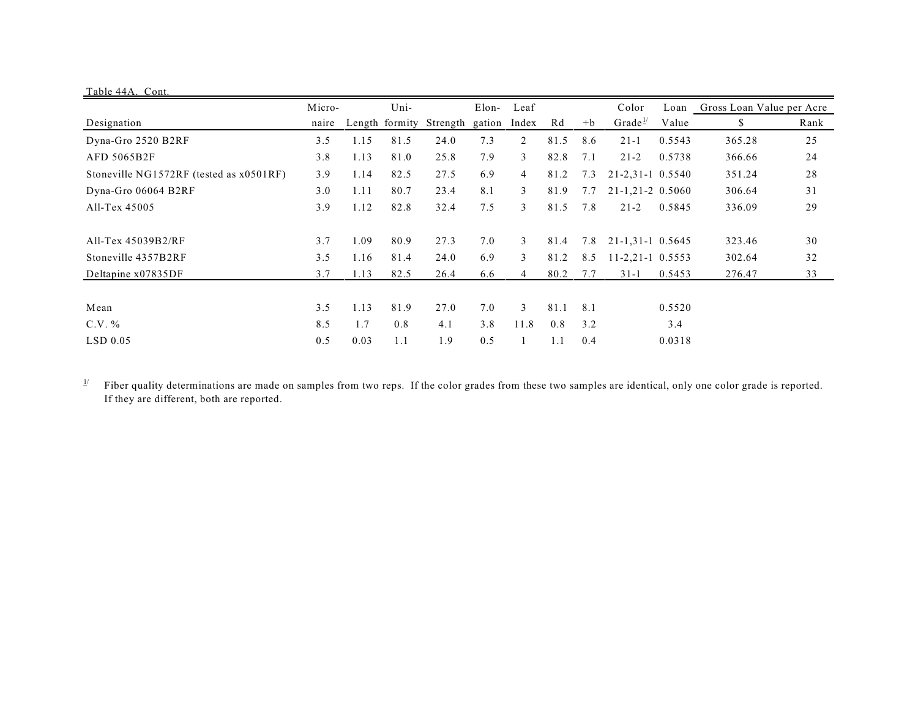| Table 44A. Cont.                        |        |      |      |                         |        |                |      |      |                          |        |                                |      |
|-----------------------------------------|--------|------|------|-------------------------|--------|----------------|------|------|--------------------------|--------|--------------------------------|------|
|                                         | Micro- |      | Uni- |                         | Elon-  | Leaf           |      |      | Color                    |        | Loan Gross Loan Value per Acre |      |
| Designation                             | naire  |      |      | Length formity Strength | gation | Index          | Rd   | $+b$ | Grade <sup>1/</sup>      | Value  | \$                             | Rank |
| Dyna-Gro 2520 B2RF                      | 3.5    | 1.15 | 81.5 | 24.0                    | 7.3    | 2              | 81.5 | 8.6  | $21 - 1$                 | 0.5543 | 365.28                         | 25   |
| AFD 5065B2F                             | 3.8    | 1.13 | 81.0 | 25.8                    | 7.9    | 3              | 82.8 | 7.1  | $21 - 2$                 | 0.5738 | 366.66                         | 24   |
| Stoneville NG1572RF (tested as x0501RF) | 3.9    | 1.14 | 82.5 | 27.5                    | 6.9    | $\overline{4}$ | 81.2 | 7.3  | $21 - 2,31 - 1,0.5540$   |        | 351.24                         | 28   |
| Dyna-Gro 06064 B2RF                     | 3.0    | 1.11 | 80.7 | 23.4                    | 8.1    | 3              | 81.9 | 7.7  | $21 - 1, 21 - 2, 0.5060$ |        | 306.64                         | 31   |
| All-Tex 45005                           | 3.9    | 1.12 | 82.8 | 32.4                    | 7.5    | 3              | 81.5 | 7.8  | $21 - 2$                 | 0.5845 | 336.09                         | 29   |
| All-Tex $45039B2/RF$                    | 3.7    | 1.09 | 80.9 | 27.3                    | 7.0    | 3              | 81.4 | 7.8  | 21-1,31-1 0.5645         |        | 323.46                         | 30   |
| Stoneville 4357B2RF                     | 3.5    | 1.16 | 81.4 | 24.0                    | 6.9    | $\mathfrak{Z}$ | 81.2 | 8.5  | $11-2,21-1$ 0.5553       |        | 302.64                         | 32   |
| Deltapine x07835DF                      | 3.7    | 1.13 | 82.5 | 26.4                    | 6.6    | 4              | 80.2 | 7.7  | $31 - 1$                 | 0.5453 | 276.47                         | 33   |
|                                         |        |      |      |                         |        |                |      |      |                          |        |                                |      |
| Mean                                    | 3.5    | 1.13 | 81.9 | 27.0                    | 7.0    | $\mathcal{E}$  | 81.1 | 8.1  |                          | 0.5520 |                                |      |
| $C.V. \%$                               | 8.5    | 1.7  | 0.8  | 4.1                     | 3.8    | 11.8           | 0.8  | 3.2  |                          | 3.4    |                                |      |
| $LSD$ 0.05                              | 0.5    | 0.03 | 1.1  | 1.9                     | 0.5    |                | 1.1  | 0.4  |                          | 0.0318 |                                |      |

Fiber quality determinations are made on samples from two reps. If the color grades from these two samples are identical, only one color grade is reported.  $\underline{1}/$ If they are different, both are reported.